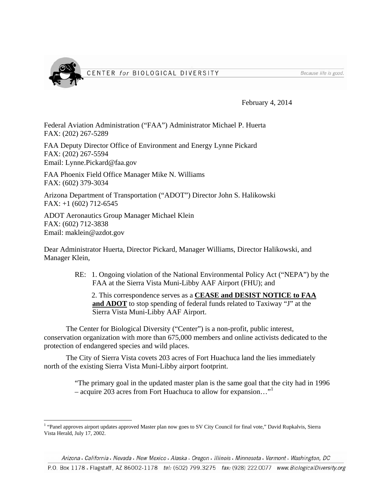

Because life is good.

February 4, 2014

Federal Aviation Administration ("FAA") Administrator Michael P. Huerta FAX: (202) 267-5289

FAA Deputy Director Office of Environment and Energy Lynne Pickard FAX: (202) 267-5594 Email: Lynne.Pickard@faa.gov

FAA Phoenix Field Office Manager Mike N. Williams FAX: (602) 379-3034

Arizona Department of Transportation ("ADOT") Director John S. Halikowski FAX: +1 (602) 712-6545

ADOT Aeronautics Group Manager Michael Klein FAX: (602) 712-3838 Email: maklein@azdot.gov

 $\overline{a}$ 

Dear Administrator Huerta, Director Pickard, Manager Williams, Director Halikowski, and Manager Klein,

> RE: 1. Ongoing violation of the National Environmental Policy Act ("NEPA") by the FAA at the Sierra Vista Muni-Libby AAF Airport (FHU); and

 2. This correspondence serves as a **CEASE and DESIST NOTICE to FAA**  and **ADOT** to stop spending of federal funds related to Taxiway "J" at the Sierra Vista Muni-Libby AAF Airport.

 The Center for Biological Diversity ("Center") is a non-profit, public interest, conservation organization with more than 675,000 members and online activists dedicated to the protection of endangered species and wild places.

 The City of Sierra Vista covets 203 acres of Fort Huachuca land the lies immediately north of the existing Sierra Vista Muni-Libby airport footprint.

> "The primary goal in the updated master plan is the same goal that the city had in 1996 – acquire 203 acres from Fort Huachuca to allow for expansion…"1

Arizona . California . Nevada . New Mexico . Alaska . Oregon . Illinois . Minnesota . Vermont . Washington, DC

P.O. Box 1178 · Flagstaff, AZ 86002-1178 tel: (602) 799.3275 fax: (928) 222.0077 www.BiologicalDiversity.org

<sup>&</sup>lt;sup>1</sup> "Panel approves airport updates approved Master plan now goes to SV City Council for final vote," David Rupkalvis, Sierra Vista Herald, July 17, 2002.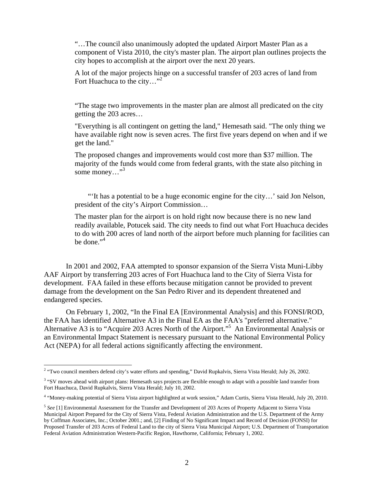"…The council also unanimously adopted the updated Airport Master Plan as a component of Vista 2010, the city's master plan. The airport plan outlines projects the city hopes to accomplish at the airport over the next 20 years.

A lot of the major projects hinge on a successful transfer of 203 acres of land from Fort Huachuca to the city..."<sup>2</sup>

"The stage two improvements in the master plan are almost all predicated on the city getting the 203 acres…

"Everything is all contingent on getting the land," Hemesath said. "The only thing we have available right now is seven acres. The first five years depend on when and if we get the land."

The proposed changes and improvements would cost more than \$37 million. The majority of the funds would come from federal grants, with the state also pitching in some money..."<sup>3</sup>

 "'It has a potential to be a huge economic engine for the city…' said Jon Nelson, president of the city's Airport Commission…

The master plan for the airport is on hold right now because there is no new land readily available, Potucek said. The city needs to find out what Fort Huachuca decides to do with 200 acres of land north of the airport before much planning for facilities can be done."<sup>4</sup>

 In 2001 and 2002, FAA attempted to sponsor expansion of the Sierra Vista Muni-Libby AAF Airport by transferring 203 acres of Fort Huachuca land to the City of Sierra Vista for development. FAA failed in these efforts because mitigation cannot be provided to prevent damage from the development on the San Pedro River and its dependent threatened and endangered species.

 On February 1, 2002, "In the Final EA [Environmental Analysis] and this FONSI/ROD, the FAA has identified Alternative A3 in the Final EA as the FAA's "preferred alternative." Alternative A3 is to "Acquire 203 Acres North of the Airport."5 An Environmental Analysis or an Environmental Impact Statement is necessary pursuant to the National Environmental Policy Act (NEPA) for all federal actions significantly affecting the environment.

<sup>&</sup>lt;sup>2</sup> "Two council members defend city's water efforts and spending," David Rupkalvis, Sierra Vista Herald; July 26, 2002.

<sup>&</sup>lt;sup>3</sup> "SV moves ahead with airport plans: Hemesath says projects are flexible enough to adapt with a possible land transfer from Fort Huachuca, David Rupkalvis, Sierra Vista Herald; July 10, 2002.

<sup>4</sup> "Money-making potential of Sierra Vista airport highlighted at work session," Adam Curtis, Sierra Vista Herald, July 20, 2010.

<sup>5</sup> *See* [1] Environmental Assessment for the Transfer and Development of 203 Acres of Property Adjacent to Sierra Vista Municipal Airport Prepared for the City of Sierra Vista, Federal Aviation Administration and the U.S. Department of the Army by Coffman Associates, Inc.; October 2001.; and, [2] Finding of No Significant Impact and Record of Decision (FONSI) for Proposed Transfer of 203 Acres of Federal Land to the city of Sierra Vista Municipal Airport; U.S. Department of Transportation Federal Aviation Administration Western-Pacific Region, Hawthorne, California; February 1, 2002.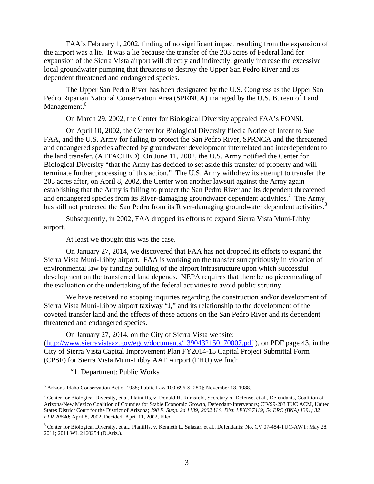FAA's February 1, 2002, finding of no significant impact resulting from the expansion of the airport was a lie. It was a lie because the transfer of the 203 acres of Federal land for expansion of the Sierra Vista airport will directly and indirectly, greatly increase the excessive local groundwater pumping that threatens to destroy the Upper San Pedro River and its dependent threatened and endangered species.

The Upper San Pedro River has been designated by the U.S. Congress as the Upper San Pedro Riparian National Conservation Area (SPRNCA) managed by the U.S. Bureau of Land Management.<sup>6</sup>

On March 29, 2002, the Center for Biological Diversity appealed FAA's FONSI.

 On April 10, 2002, the Center for Biological Diversity filed a Notice of Intent to Sue FAA, and the U.S. Army for failing to protect the San Pedro River, SPRNCA and the threatened and endangered species affected by groundwater development interrelated and interdependent to the land transfer. (ATTACHED) On June 11, 2002, the U.S. Army notified the Center for Biological Diversity "that the Army has decided to set aside this transfer of property and will terminate further processing of this action." The U.S. Army withdrew its attempt to transfer the 203 acres after, on April 8, 2002, the Center won another lawsuit against the Army again establishing that the Army is failing to protect the San Pedro River and its dependent threatened and endangered species from its River-damaging groundwater dependent activities.<sup>7</sup> The Army has still not protected the San Pedro from its River-damaging groundwater dependent activities.<sup>8</sup>

 Subsequently, in 2002, FAA dropped its efforts to expand Sierra Vista Muni-Libby airport.

At least we thought this was the case.

 On January 27, 2014, we discovered that FAA has not dropped its efforts to expand the Sierra Vista Muni-Libby airport. FAA is working on the transfer surreptitiously in violation of environmental law by funding building of the airport infrastructure upon which successful development on the transferred land depends. NEPA requires that there be no piecemealing of the evaluation or the undertaking of the federal activities to avoid public scrutiny.

We have received no scoping inquiries regarding the construction and/or development of Sierra Vista Muni-Libby airport taxiway "J," and its relationship to the development of the coveted transfer land and the effects of these actions on the San Pedro River and its dependent threatened and endangered species.

On January 27, 2014, on the City of Sierra Vista website:

(http://www.sierravistaaz.gov/egov/documents/1390432150\_70007.pdf ), on PDF page 43, in the City of Sierra Vista Capital Improvement Plan FY2014-15 Capital Project Submittal Form (CPSF) for Sierra Vista Muni-Libby AAF Airport (FHU) we find:

"1. Department: Public Works

 $\overline{a}$ 

<sup>6</sup> Arizona-Idaho Conservation Act of 1988; Public Law 100-696[S. 280]; November 18, 1988.

<sup>&</sup>lt;sup>7</sup> Center for Biological Diversity, et al. Plaintiffs, v. Donald H. Rumsfeld, Secretary of Defense, et al., Defendants, Coalition of Arizona/New Mexico Coalition of Counties for Stable Economic Growth, Defendant-Intervenors; CIV99-203 TUC ACM, United States District Court for the District of Arizona; *198 F. Supp. 2d 1139; 2002 U.S. Dist. LEXIS 7419; 54 ERC (BNA) 1391; 32 ELR 20640*; April 8, 2002, Decided; April 11, 2002, Filed.

<sup>&</sup>lt;sup>8</sup> Center for Biological Diversity, et al., Plantiffs, v. Kenneth L. Salazar, et al., Defendants; No. CV 07-484-TUC-AWT; May 28, 2011; 2011 WL 2160254 (D.Ariz.).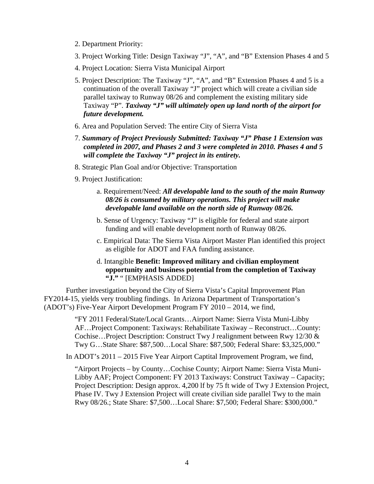- 2. Department Priority:
- 3. Project Working Title: Design Taxiway "J", "A", and "B" Extension Phases 4 and 5
- 4. Project Location: Sierra Vista Municipal Airport
- 5. Project Description: The Taxiway "J", "A", and "B" Extension Phases 4 and 5 is a continuation of the overall Taxiway "J" project which will create a civilian side parallel taxiway to Runway 08/26 and complement the existing military side Taxiway "P". *Taxiway "J" will ultimately open up land north of the airport for future development.*
- 6. Area and Population Served: The entire City of Sierra Vista
- 7. *Summary of Project Previously Submitted: Taxiway "J" Phase 1 Extension was completed in 2007, and Phases 2 and 3 were completed in 2010. Phases 4 and 5 will complete the Taxiway "J" project in its entirety.*
- 8. Strategic Plan Goal and/or Objective: Transportation
- 9. Project Justification:
	- a. Requirement/Need: *All developable land to the south of the main Runway 08/26 is consumed by military operations. This project will make developable land available on the north side of Runway 08/26.*
	- b. Sense of Urgency: Taxiway "J" is eligible for federal and state airport funding and will enable development north of Runway 08/26.
	- c. Empirical Data: The Sierra Vista Airport Master Plan identified this project as eligible for ADOT and FAA funding assistance.
	- d. Intangible **Benefit: Improved military and civilian employment opportunity and business potential from the completion of Taxiway "J."** " [EMPHASIS ADDED]

 Further investigation beyond the City of Sierra Vista's Capital Improvement Plan FY2014-15, yields very troubling findings. In Arizona Department of Transportation's (ADOT's) Five-Year Airport Development Program FY 2010 – 2014, we find,

> "FY 2011 Federal/State/Local Grants…Airport Name: Sierra Vista Muni-Libby AF…Project Component: Taxiways: Rehabilitate Taxiway – Reconstruct…County: Cochise…Project Description: Construct Twy J realignment between Rwy 12/30 & Twy G…State Share: \$87,500…Local Share: \$87,500; Federal Share: \$3,325,000."

In ADOT's 2011 – 2015 Five Year Airport Captital Improvement Program, we find,

"Airport Projects – by County…Cochise County; Airport Name: Sierra Vista Muni-Libby AAF; Project Component: FY 2013 Taxiways: Construct Taxiway – Capacity; Project Description: Design approx. 4,200 lf by 75 ft wide of Twy J Extension Project, Phase IV. Twy J Extension Project will create civilian side parallel Twy to the main Rwy 08/26.; State Share: \$7,500…Local Share: \$7,500; Federal Share: \$300,000."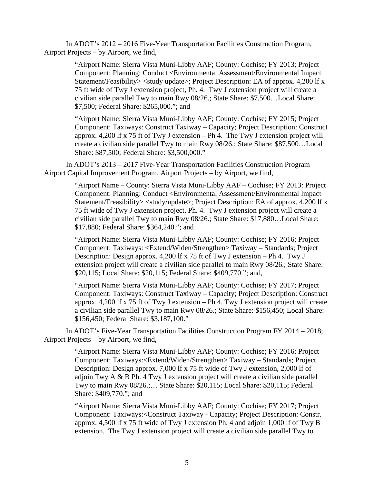In ADOT's 2012 – 2016 Five-Year Transportation Facilities Construction Program, Airport Projects – by Airport, we find,

> "Airport Name: Sierra Vista Muni-Libby AAF; County: Cochise; FY 2013; Project Component: Planning: Conduct <Environmental Assessment/Environmental Impact Statement/Feasibility> <study update>; Project Description: EA of approx. 4,200 lf x 75 ft wide of Twy J extension project, Ph. 4. Twy J extension project will create a civilian side parallel Twy to main Rwy 08/26.; State Share: \$7,500…Local Share: \$7,500; Federal Share: \$265,000."; and

"Airport Name: Sierra Vista Muni-Libby AAF; County: Cochise; FY 2015; Project Component: Taxiways: Construct Taxiway – Capacity; Project Description: Construct approx. 4,200 lf x 75 ft of Twy J extension – Ph 4. The Twy J extension project will create a civilian side parallel Twy to main Rwy 08/26.; State Share: \$87,500…Local Share: \$87,500; Federal Share: \$3,500,000."

 In ADOT's 2013 – 2017 Five-Year Transportation Facilities Construction Program Airport Capital Improvement Program, Airport Projects – by Airport, we find,

> "Airport Name – County: Sierra Vista Muni-Libby AAF – Cochise; FY 2013: Project Component: Planning: Conduct <Environmental Assessment/Environmental Impact Statement/Freasibility> <study/update>; Project Description: EA of approx. 4,200 lf x 75 ft wide of Twy J extension project, Ph. 4. Twy J extension project will create a civilian side parallel Twy to main Rwy 08/26.; State Share: \$17,880…Local Share: \$17,880; Federal Share: \$364,240."; and

"Airport Name: Sierra Vista Muni-Libby AAF; County: Cochise; FY 2016; Project Component: Taxiways: <Extend/Widen/Strengthen> Taxiway – Standards; Project Description: Design approx. 4,200 lf x 75 ft of Twy J extension – Ph 4. Twy J extension project will create a civilian side parallel to main Rwy 08/26.; State Share: \$20,115; Local Share: \$20,115; Federal Share: \$409,770."; and,

"Airport Name: Sierra Vista Muni-Libby AAF; County: Cochise; FY 2017; Project Component: Taxiways: Construct Taxiway – Capacity; Project Description: Construct approx. 4,200 lf x 75 ft of Twy J extension – Ph 4. Twy J extension project will create a civilian side parallel Twy to main Rwy 08/26.; State Share: \$156,450; Local Share: \$156,450; Federal Share: \$3,187,100."

 In ADOT's Five-Year Transportation Facilities Construction Program FY 2014 – 2018; Airport Projects – by Airport, we find,

> "Airport Name: Sierra Vista Muni-Libby AAF; County: Cochise; FY 2016; Project Component: Taxiways:<Extend/Widen/Strengthen> Taxiway – Standards; Project Description: Design approx. 7,000 lf x 75 ft wide of Twy J extension, 2,000 lf of adjoin Twy A & B Ph. 4 Twy J extension project will create a civilian side parallel Twy to main Rwy 08/26.;… State Share: \$20,115; Local Share: \$20,115; Federal Share: \$409,770."; and

> "Airport Name: Sierra Vista Muni-Libby AAF; County: Cochise; FY 2017; Project Component: Taxiways:<Construct Taxiway - Capacity; Project Description: Constr. approx. 4,500 lf x 75 ft wide of Twy J extension Ph. 4 and adjoin 1,000 lf of Twy B extension. The Twy J extension project will create a civilian side parallel Twy to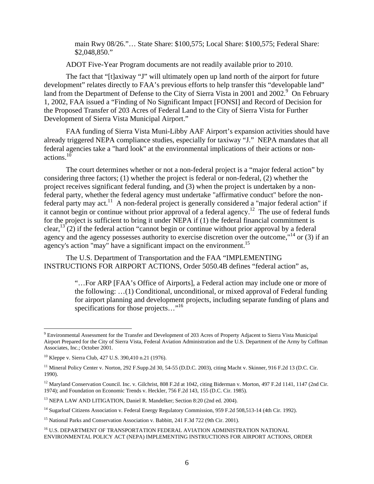main Rwy 08/26."… State Share: \$100,575; Local Share: \$100,575; Federal Share: \$2,048,850."

ADOT Five-Year Program documents are not readily available prior to 2010.

 The fact that "[t]axiway "J" will ultimately open up land north of the airport for future development" relates directly to FAA's previous efforts to help transfer this "developable land" land from the Department of Defense to the City of Sierra Vista in 2001 and 2002.<sup>9</sup> On February 1, 2002, FAA issued a "Finding of No Significant Impact [FONSI] and Record of Decision for the Proposed Transfer of 203 Acres of Federal Land to the City of Sierra Vista for Further Development of Sierra Vista Municipal Airport."

FAA funding of Sierra Vista Muni-Libby AAF Airport's expansion activities should have already triggered NEPA compliance studies, especially for taxiway "J." NEPA mandates that all federal agencies take a "hard look" at the environmental implications of their actions or nonactions. $10$ 

 The court determines whether or not a non-federal project is a "major federal action" by considering three factors; (1) whether the project is federal or non-federal, (2) whether the project receives significant federal funding, and (3) when the project is undertaken by a nonfederal party, whether the federal agency must undertake "affirmative conduct" before the nonfederal party may act.<sup>11</sup> A non-federal project is generally considered a "major federal action" if it cannot begin or continue without prior approval of a federal agency.<sup>12</sup> The use of federal funds for the project is sufficient to bring it under NEPA if (1) the federal financial commitment is clear,  $^{13}$  (2) if the federal action "cannot begin or continue without prior approval by a federal agency and the agency possesses authority to exercise discretion over the outcome,"<sup>14</sup> or (3) if an agency's action "may" have a significant impact on the environment.<sup>15</sup>

 The U.S. Department of Transportation and the FAA "IMPLEMENTING INSTRUCTIONS FOR AIRPORT ACTIONS, Order 5050.4B defines "federal action" as,

> "…For ARP [FAA's Office of Airports], a Federal action may include one or more of the following: …(1) Conditional, unconditional, or mixed approval of Federal funding for airport planning and development projects, including separate funding of plans and specifications for those projects..."<sup>16</sup>

 $\overline{a}$ 

<sup>14</sup> Sugarloaf Citizens Association v. Federal Energy Regulatory Commission, 959 F.2d 508,513-14 (4th Cir. 1992).

<sup>&</sup>lt;sup>9</sup> Environmental Assessment for the Transfer and Development of 203 Acres of Property Adjacent to Sierra Vista Municipal Airport Prepared for the City of Sierra Vista, Federal Aviation Administration and the U.S. Department of the Army by Coffman Associates, Inc.; October 2001.

<sup>10</sup> Kleppe v. Sierra Club, 427 U.S. 390,410 n.21 (1976).

<sup>&</sup>lt;sup>11</sup> Mineral Policy Center v. Norton, 292 F.Supp.2d 30, 54-55 (D.D.C. 2003), citing Macht v. Skinner, 916 F.2d 13 (D.C. Cir. 1990).

<sup>&</sup>lt;sup>12</sup> Maryland Conservation Council. Inc. v. Gilchrist, 808 F.2d at 1042, citing Biderman v. Morton, 497 F.2d 1141, 1147 (2nd Cir. 1974); and Foundation on Economic Trends v. Heckler, 756 F.2d 143, 155 (D.C. Cir. 1985).

<sup>&</sup>lt;sup>13</sup> NEPA LAW AND LITIGATION, Daniel R. Mandelker; Section 8:20 (2nd ed. 2004).

<sup>&</sup>lt;sup>15</sup> National Parks and Conservation Association v. Babbitt, 241 F.3d 722 (9th Cir. 2001).

<sup>&</sup>lt;sup>16</sup> U.S. DEPARTMENT OF TRANSPORTATION FEDERAL AVIATION ADMINISTRATION NATIONAL ENVIRONMENTAL POLICY ACT (NEPA) IMPLEMENTING INSTRUCTIONS FOR AIRPORT ACTIONS, ORDER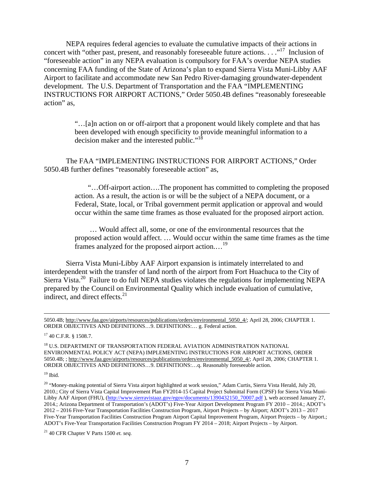NEPA requires federal agencies to evaluate the cumulative impacts of their actions in concert with "other past, present, and reasonably foreseeable future actions. . . ."<sup>17</sup> Inclusion of "foreseeable action" in any NEPA evaluation is compulsory for FAA's overdue NEPA studies concerning FAA funding of the State of Arizona's plan to expand Sierra Vista Muni-Libby AAF Airport to facilitate and accommodate new San Pedro River-damaging groundwater-dependent development. The U.S. Department of Transportation and the FAA "IMPLEMENTING INSTRUCTIONS FOR AIRPORT ACTIONS," Order 5050.4B defines "reasonably foreseeable action" as,

> "…[a]n action on or off-airport that a proponent would likely complete and that has been developed with enough specificity to provide meaningful information to a decision maker and the interested public."<sup>18</sup>

 The FAA "IMPLEMENTING INSTRUCTIONS FOR AIRPORT ACTIONS," Order 5050.4B further defines "reasonably foreseeable action" as,

> "…Off-airport action….The proponent has committed to completing the proposed action. As a result, the action is or will be the subject of a NEPA document, or a Federal, State, local, or Tribal government permit application or approval and would occur within the same time frames as those evaluated for the proposed airport action.

> … Would affect all, some, or one of the environmental resources that the proposed action would affect. … Would occur within the same time frames as the time frames analyzed for the proposed airport action.…19

Sierra Vista Muni-Libby AAF Airport expansion is intimately interrelated to and interdependent with the transfer of land north of the airport from Fort Huachuca to the City of Sierra Vista.<sup>20</sup> Failure to do full NEPA studies violates the regulations for implementing NEPA prepared by the Council on Environmental Quality which include evaluation of cumulative, indirect, and direct effects.<sup>21</sup>

 <sup>5050.4</sup>B; http://www.faa.gov/airports/resources/publications/orders/environmental\_5050\_4/; April 28, 2006; CHAPTER 1. ORDER OBJECTIVES AND DEFINITIONS…9. DEFINITIONS:… g. Federal action.

<sup>17 40</sup> C.F.R. § 1508.7.

 $^{18}$  U.S. DEPARTMENT OF TRANSPORTATION FEDERAL AVIATION ADMINISTRATION NATIONAL ENVIRONMENTAL POLICY ACT (NEPA) IMPLEMENTING INSTRUCTIONS FOR AIRPORT ACTIONS, ORDER 5050.4B; ; http://www.faa.gov/airports/resources/publications/orders/environmental\_5050\_4/; April 28, 2006; CHAPTER 1. ORDER OBJECTIVES AND DEFINITIONS…9. DEFINITIONS:…q. Reasonably foreseeable action.

 $^{19}$  Ibid.

 $20$  "Money-making potential of Sierra Vista airport highlighted at work session," Adam Curtis, Sierra Vista Herald, July 20, 2010.; City of Sierra Vista Capital Improvement Plan FY2014-15 Capital Project Submittal Form (CPSF) for Sierra Vista Muni-Libby AAF Airport (FHU), (http://www.sierravistaaz.gov/egov/documents/1390432150\_70007.pdf ), web accessed January 27, 2014.; Arizona Department of Transportation's (ADOT's) Five-Year Airport Development Program FY 2010 – 2014.; ADOT's 2012 – 2016 Five-Year Transportation Facilities Construction Program, Airport Projects – by Airport; ADOT's 2013 – 2017 Five-Year Transportation Facilities Construction Program Airport Capital Improvement Program, Airport Projects – by Airport.; ADOT's Five-Year Transportation Facilities Construction Program FY 2014 – 2018; Airport Projects – by Airport.

<sup>21 40</sup> CFR Chapter V Parts 1500 *et. seq.*